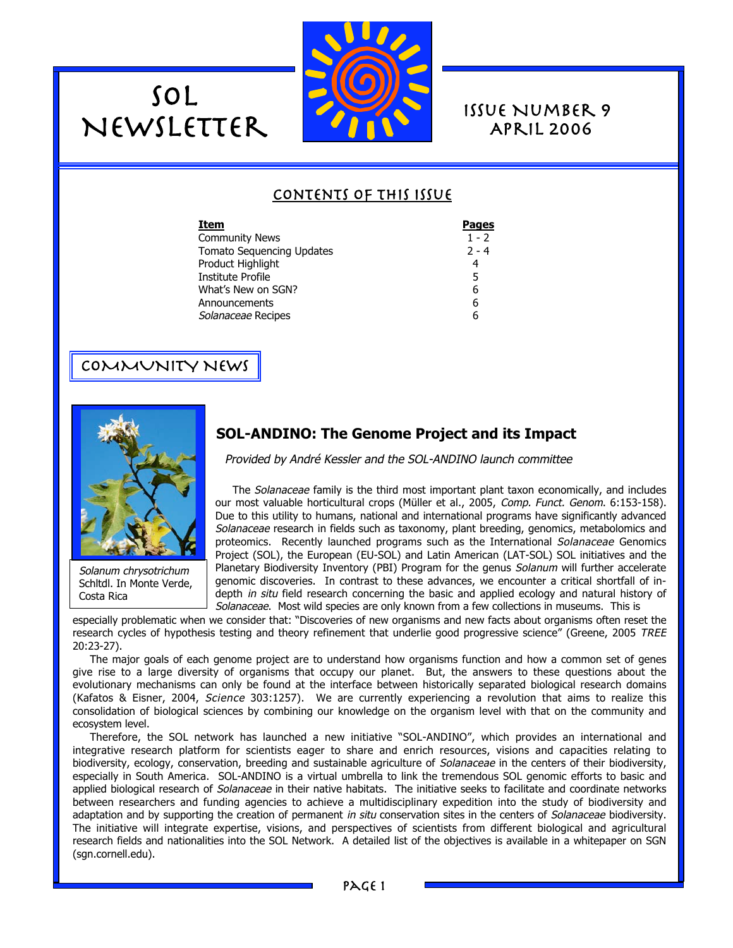

April 2006

# Contents of this Issue

| Item                      | <b>Pages</b> |
|---------------------------|--------------|
| Community News            | $1 - 2$      |
| Tomato Sequencing Updates | $2 - 4$      |
| Product Highlight         | 4            |
| Institute Profile         | 5            |
| What's New on SGN?        | 6            |
| Announcements             | 6            |
| Solanaceae Recipes        | 6            |

## COMMUNITY NEWS

SOL



Solanum chrysotrichum Schltdl. In Monte Verde, Costa Rica

# **SOL-ANDINO: The Genome Project and its Impact**

Provided by André Kessler and the SOL-ANDINO launch committee

The Solanaceae family is the third most important plant taxon economically, and includes our most valuable horticultural crops (Müller et al., 2005, Comp. Funct. Genom. 6:153-158). Due to this utility to humans, national and international programs have significantly advanced Solanaceae research in fields such as taxonomy, plant breeding, genomics, metabolomics and proteomics. Recently launched programs such as the International Solanaceae Genomics Project (SOL), the European (EU-SOL) and Latin American (LAT-SOL) SOL initiatives and the Planetary Biodiversity Inventory (PBI) Program for the genus Solanum will further accelerate genomic discoveries. In contrast to these advances, we encounter a critical shortfall of indepth in situ field research concerning the basic and applied ecology and natural history of Solanaceae. Most wild species are only known from a few collections in museums. This is

especially problematic when we consider that: "Discoveries of new organisms and new facts about organisms often reset the research cycles of hypothesis testing and theory refinement that underlie good progressive science" (Greene, 2005 TREE 20:23-27).

The major goals of each genome project are to understand how organisms function and how a common set of genes give rise to a large diversity of organisms that occupy our planet. But, the answers to these questions about the evolutionary mechanisms can only be found at the interface between historically separated biological research domains (Kafatos & Eisner, 2004, Science 303:1257). We are currently experiencing a revolution that aims to realize this consolidation of biological sciences by combining our knowledge on the organism level with that on the community and ecosystem level.

Therefore, the SOL network has launched a new initiative "SOL-ANDINO", which provides an international and integrative research platform for scientists eager to share and enrich resources, visions and capacities relating to biodiversity, ecology, conservation, breeding and sustainable agriculture of Solanaceae in the centers of their biodiversity, especially in South America. SOL-ANDINO is a virtual umbrella to link the tremendous SOL genomic efforts to basic and applied biological research of Solanaceae in their native habitats. The initiative seeks to facilitate and coordinate networks between researchers and funding agencies to achieve a multidisciplinary expedition into the study of biodiversity and adaptation and by supporting the creation of permanent in situ conservation sites in the centers of Solanaceae biodiversity. The initiative will integrate expertise, visions, and perspectives of scientists from different biological and agricultural research fields and nationalities into the SOL Network. A detailed list of the objectives is available in a whitepaper on SGN (sgn.cornell.edu).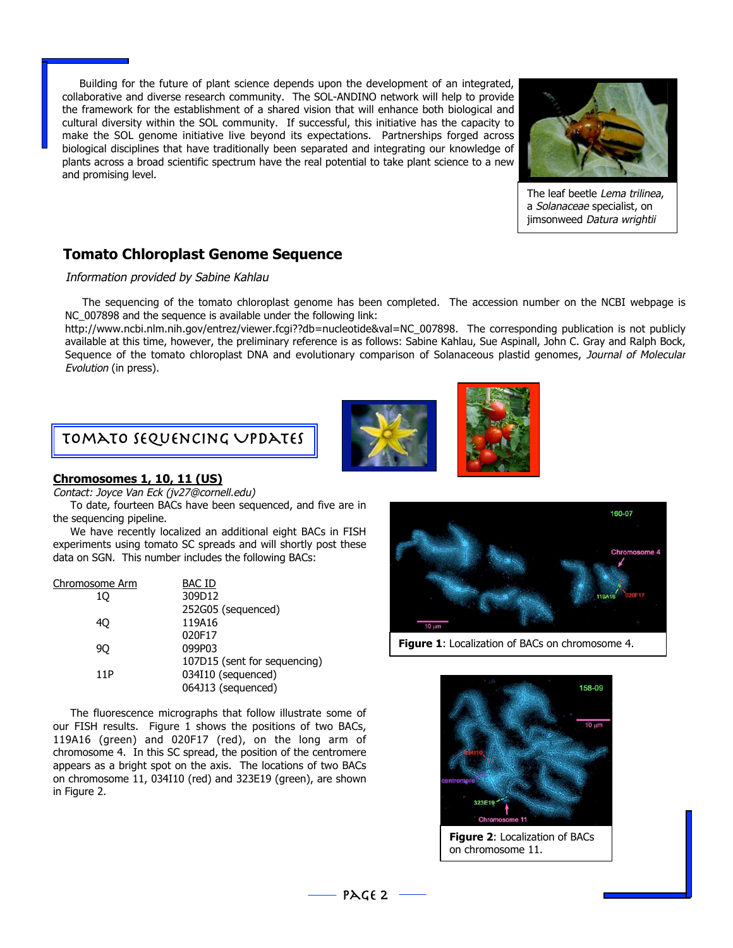Building for the future of plant science depends upon the development of an integrated, collaborative and diverse research community. The SOL-ANDINO network will help to provide the framework for the establishment of a shared vision that will enhance both biological and cultural diversity within the SOL community. If successful, this initiative has the capacity to make the SOL genome initiative live beyond its expectations. Partnerships forged across biological disciplines that have traditionally been separated and integrating our knowledge of plants across a broad scientific spectrum have the real potential to take plant science to a new and promising level.



The leaf beetle Lema trilinea. a Solanaceae specialist, on jimsonweed Datura wrightii

# **Tomato Chloroplast Genome Sequence**

#### Information provided by Sabine Kahlau

The sequencing of the tomato chloroplast genome has been completed. The accession number on the NCBI webpage is NC\_007898 and the sequence is available under the following link:

http://www.ncbi.nlm.nih.gov/entrez/viewer.fcgi??db=nucleotide&val=NC\_007898. The corresponding publication is not publicly available at this time, however, the preliminary reference is as follows: Sabine Kahlau, Sue Aspinall, John C. Gray and Ralph Bock, Sequence of the tomato chloroplast DNA and evolutionary comparison of Solanaceous plastid genomes, Journal of Molecular Evolution (in press).



# Tomato Sequencing Updates

#### **Chromosomes 1, 10, 11 (US)**

Contact: Joyce Van Eck (jv27@cornell.edu)

To date, fourteen BACs have been sequenced, and five are in the sequencing pipeline.

We have recently localized an additional eight BACs in FISH experiments using tomato SC spreads and will shortly post these data on SGN. This number includes the following BACs:

| 107D15 (sent for sequencing) |
|------------------------------|
|                              |
|                              |
|                              |

The fluorescence micrographs that follow illustrate some of our FISH results. Figure 1 shows the positions of two BACs, 119A16 (green) and 020F17 (red), on the long arm of chromosome 4. In this SC spread, the position of the centromere appears as a bright spot on the axis. The locations of two BACs on chromosome 11, 034I10 (red) and 323E19 (green), are shown in Figure 2.



**Figure 1**: Localization of BACs on chromosome 4.



**Figure 2**: Localization of BACs on chromosome 11.

 $PAGE 2 -$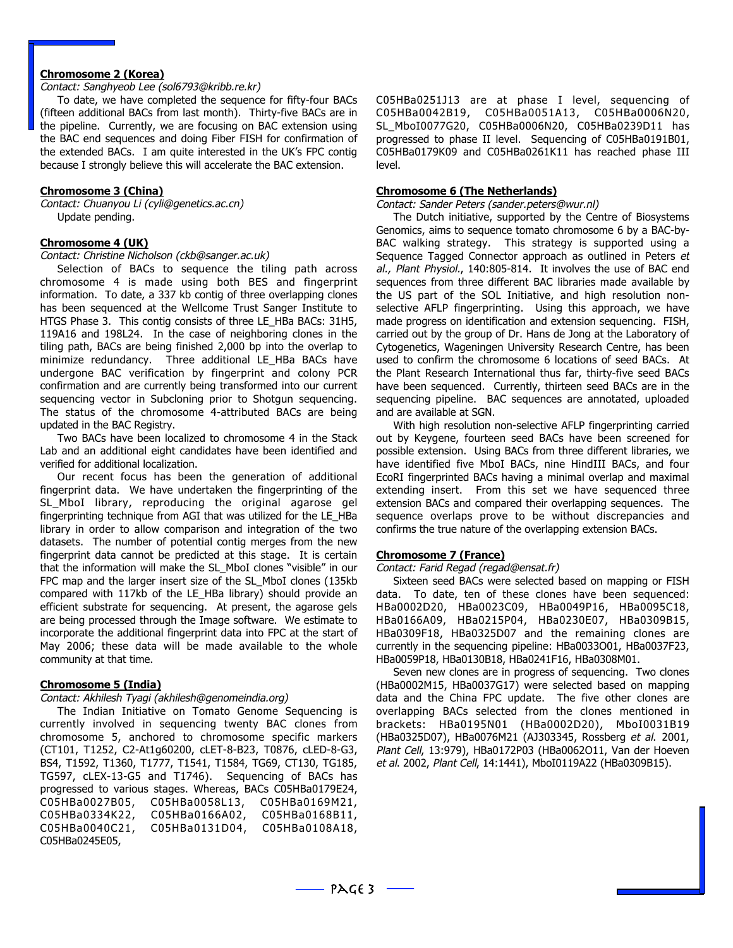#### **Chromosome 2 (Korea)**

#### Contact: Sanghyeob Lee (sol6793@kribb.re.kr)

To date, we have completed the sequence for fifty-four BACs (fifteen additional BACs from last month). Thirty-five BACs are in the pipeline. Currently, we are focusing on BAC extension using the BAC end sequences and doing Fiber FISH for confirmation of the extended BACs. I am quite interested in the UK's FPC contig because I strongly believe this will accelerate the BAC extension.

#### **Chromosome 3 (China)**

Contact: Chuanyou Li (cyli@genetics.ac.cn) Update pending.

#### **Chromosome 4 (UK)**

Contact: Christine Nicholson (ckb@sanger.ac.uk)

Selection of BACs to sequence the tiling path across chromosome 4 is made using both BES and fingerprint information. To date, a 337 kb contig of three overlapping clones has been sequenced at the Wellcome Trust Sanger Institute to HTGS Phase 3. This contig consists of three LE\_HBa BACs: 31H5, 119A16 and 198L24. In the case of neighboring clones in the tiling path, BACs are being finished 2,000 bp into the overlap to minimize redundancy. Three additional LE HBa BACs have undergone BAC verification by fingerprint and colony PCR confirmation and are currently being transformed into our current sequencing vector in Subcloning prior to Shotgun sequencing. The status of the chromosome 4-attributed BACs are being updated in the BAC Registry.

Two BACs have been localized to chromosome 4 in the Stack Lab and an additional eight candidates have been identified and verified for additional localization.

Our recent focus has been the generation of additional fingerprint data. We have undertaken the fingerprinting of the SL MboI library, reproducing the original agarose gel fingerprinting technique from AGI that was utilized for the LE\_HBa library in order to allow comparison and integration of the two datasets. The number of potential contig merges from the new fingerprint data cannot be predicted at this stage. It is certain that the information will make the SL\_MboI clones "visible" in our FPC map and the larger insert size of the SL\_MboI clones (135kb) compared with 117kb of the LE\_HBa library) should provide an efficient substrate for sequencing. At present, the agarose gels are being processed through the Image software. We estimate to incorporate the additional fingerprint data into FPC at the start of May 2006; these data will be made available to the whole community at that time.

#### **Chromosome 5 (India)**

#### Contact: Akhilesh Tyagi (akhilesh@genomeindia.org)

The Indian Initiative on Tomato Genome Sequencing is currently involved in sequencing twenty BAC clones from chromosome 5, anchored to chromosome specific markers (CT101, T1252, C2-At1g60200, cLET-8-B23, T0876, cLED-8-G3, BS4, T1592, T1360, T1777, T1541, T1584, TG69, CT130, TG185, TG597, cLEX-13-G5 and T1746). Sequencing of BACs has progressed to various stages. Whereas, BACs C05HBa0179E24, C05HBa0027B05, C05HBa0058L13, C05HBa0169M21, C05HBa0334K22, C05HBa0166A02, C05HBa0168B11, C05HBa0040C21, C05HBa0131D04, C05HBa0108A18, C05HBa0245E05,

C05HBa0251J13 are at phase I level, sequencing of C05HBa0042B19, C05HBa0051A13, C05HBa0006N20, SL\_MboI0077G20, C05HBa0006N20, C05HBa0239D11 has progressed to phase II level. Sequencing of C05HBa0191B01, C05HBa0179K09 and C05HBa0261K11 has reached phase III level.

#### **Chromosome 6 (The Netherlands)**

Contact: Sander Peters (sander.peters@wur.nl)

The Dutch initiative, supported by the Centre of Biosystems Genomics, aims to sequence tomato chromosome 6 by a BAC-by-BAC walking strategy. This strategy is supported using a Sequence Tagged Connector approach as outlined in Peters et al., Plant Physiol., 140:805-814. It involves the use of BAC end sequences from three different BAC libraries made available by the US part of the SOL Initiative, and high resolution nonselective AFLP fingerprinting. Using this approach, we have made progress on identification and extension sequencing. FISH, carried out by the group of Dr. Hans de Jong at the Laboratory of Cytogenetics, Wageningen University Research Centre, has been used to confirm the chromosome 6 locations of seed BACs. At the Plant Research International thus far, thirty-five seed BACs have been sequenced. Currently, thirteen seed BACs are in the sequencing pipeline. BAC sequences are annotated, uploaded and are available at SGN.

With high resolution non-selective AFLP fingerprinting carried out by Keygene, fourteen seed BACs have been screened for possible extension. Using BACs from three different libraries, we have identified five MboI BACs, nine HindIII BACs, and four EcoRI fingerprinted BACs having a minimal overlap and maximal extending insert. From this set we have sequenced three extension BACs and compared their overlapping sequences. The sequence overlaps prove to be without discrepancies and confirms the true nature of the overlapping extension BACs.

#### **Chromosome 7 (France)**

Contact: Farid Regad (regad@ensat.fr)

Sixteen seed BACs were selected based on mapping or FISH data. To date, ten of these clones have been sequenced: HBa0002D20, HBa0023C09, HBa0049P16, HBa0095C18, HBa0166A09, HBa0215P04, HBa0230E07, HBa0309B15, HBa0309F18, HBa0325D07 and the remaining clones are currently in the sequencing pipeline: HBa0033O01, HBa0037F23, HBa0059P18, HBa0130B18, HBa0241F16, HBa0308M01.

Seven new clones are in progress of sequencing. Two clones (HBa0002M15, HBa0037G17) were selected based on mapping data and the China FPC update. The five other clones are overlapping BACs selected from the clones mentioned in brackets: HBa0195N01 (HBa0002D20), MboI0031B19 (HBa0325D07), HBa0076M21 (AJ303345, Rossberg et al. 2001, Plant Cell, 13:979), HBa0172P03 (HBa0062O11, Van der Hoeven et al. 2002, Plant Cell, 14:1441), MboI0119A22 (HBa0309B15).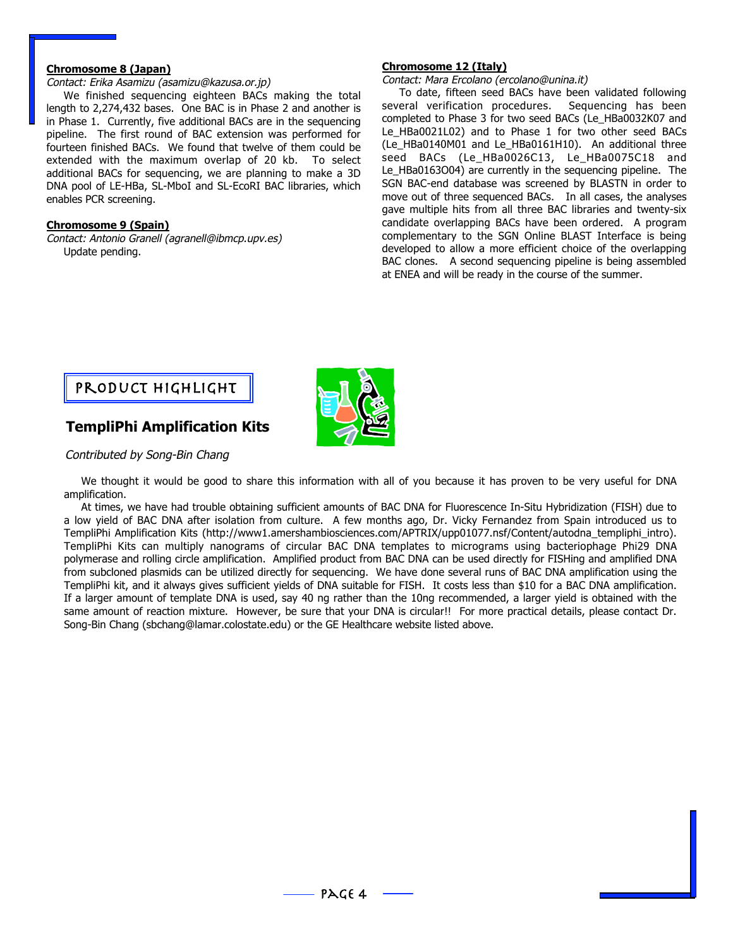### **Chromosome 8 (Japan)**

#### Contact: Erika Asamizu (asamizu@kazusa.or.jp)

We finished sequencing eighteen BACs making the total length to 2,274,432 bases. One BAC is in Phase 2 and another is in Phase 1. Currently, five additional BACs are in the sequencing pipeline. The first round of BAC extension was performed for fourteen finished BACs. We found that twelve of them could be extended with the maximum overlap of 20 kb. To select additional BACs for sequencing, we are planning to make a 3D DNA pool of LE-HBa, SL-MboI and SL-EcoRI BAC libraries, which enables PCR screening.

#### **Chromosome 9 (Spain)**

Contact: Antonio Granell (agranell@ibmcp.upv.es) Update pending.

#### **Chromosome 12 (Italy)**

Contact: Mara Ercolano (ercolano@unina.it)

To date, fifteen seed BACs have been validated following several verification procedures. Sequencing has been completed to Phase 3 for two seed BACs (Le\_HBa0032K07 and Le\_HBa0021L02) and to Phase 1 for two other seed BACs (Le\_HBa0140M01 and Le\_HBa0161H10). An additional three seed BACs (Le\_HBa0026C13, Le\_HBa0075C18 and Le\_HBa0163O04) are currently in the sequencing pipeline. The SGN BAC-end database was screened by BLASTN in order to move out of three sequenced BACs. In all cases, the analyses gave multiple hits from all three BAC libraries and twenty-six candidate overlapping BACs have been ordered. A program complementary to the SGN Online BLAST Interface is being developed to allow a more efficient choice of the overlapping BAC clones. A second sequencing pipeline is being assembled at ENEA and will be ready in the course of the summer.



## **TempliPhi Amplification Kits**

#### Contributed by Song-Bin Chang

We thought it would be good to share this information with all of you because it has proven to be very useful for DNA amplification.

At times, we have had trouble obtaining sufficient amounts of BAC DNA for Fluorescence In-Situ Hybridization (FISH) due to a low yield of BAC DNA after isolation from culture. A few months ago, Dr. Vicky Fernandez from Spain introduced us to TempliPhi Amplification Kits (http://www1.amershambiosciences.com/APTRIX/upp01077.nsf/Content/autodna\_templiphi\_intro). TempliPhi Kits can multiply nanograms of circular BAC DNA templates to micrograms using bacteriophage Phi29 DNA polymerase and rolling circle amplification. Amplified product from BAC DNA can be used directly for FISHing and amplified DNA from subcloned plasmids can be utilized directly for sequencing. We have done several runs of BAC DNA amplification using the TempliPhi kit, and it always gives sufficient yields of DNA suitable for FISH. It costs less than \$10 for a BAC DNA amplification. If a larger amount of template DNA is used, say 40 ng rather than the 10ng recommended, a larger yield is obtained with the same amount of reaction mixture. However, be sure that your DNA is circular!! For more practical details, please contact Dr. Song-Bin Chang (sbchang@lamar.colostate.edu) or the GE Healthcare website listed above.

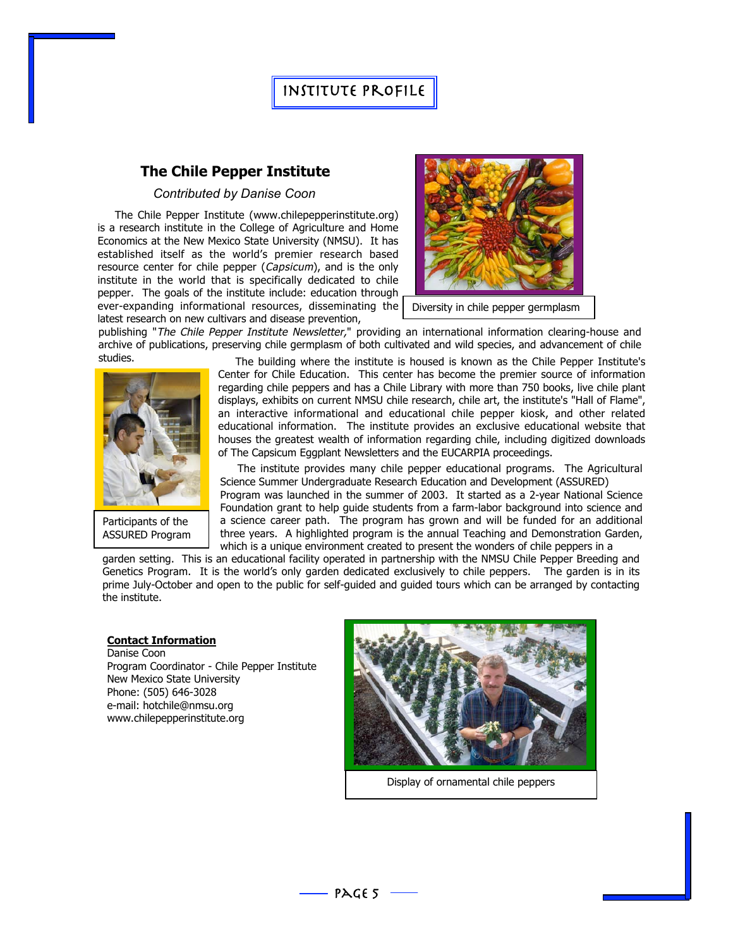# Institute Profile

## **The Chile Pepper Institute**

#### *Contributed by Danise Coon*

The Chile Pepper Institute (www.chilepepperinstitute.org) is a research institute in the College of Agriculture and Home Economics at the New Mexico State University (NMSU). It has established itself as the world's premier research based resource center for chile pepper (Capsicum), and is the only institute in the world that is specifically dedicated to chile pepper. The goals of the institute include: education through ever-expanding informational resources, disseminating the





Diversity in chile pepper germplasm

publishing "The Chile Pepper Institute Newsletter," providing an international information clearing-house and archive of publications, preserving chile germplasm of both cultivated and wild species, and advancement of chile



Participants of the ASSURED Program

studies. The building where the institute is housed is known as the Chile Pepper Institute's Center for Chile Education. This center has become the premier source of information regarding chile peppers and has a Chile Library with more than 750 books, live chile plant displays, exhibits on current NMSU chile research, chile art, the institute's "Hall of Flame", an interactive informational and educational chile pepper kiosk, and other related educational information. The institute provides an exclusive educational website that houses the greatest wealth of information regarding chile, including digitized downloads of The Capsicum Eggplant Newsletters and the EUCARPIA proceedings.

> The institute provides many chile pepper educational programs. The Agricultural Science Summer Undergraduate Research Education and Development (ASSURED) Program was launched in the summer of 2003. It started as a 2-year National Science Foundation grant to help guide students from a farm-labor background into science and a science career path. The program has grown and will be funded for an additional three years. A highlighted program is the annual Teaching and Demonstration Garden, which is a unique environment created to present the wonders of chile peppers in a

garden setting. This is an educational facility operated in partnership with the NMSU Chile Pepper Breeding and Genetics Program. It is the world's only garden dedicated exclusively to chile peppers. The garden is in its prime July-October and open to the public for self-guided and guided tours which can be arranged by contacting the institute.

#### **Contact Information**

Danise Coon Program Coordinator - Chile Pepper Institute New Mexico State University Phone: (505) 646-3028 e-mail: hotchile@nmsu.org www.chilepepperinstitute.org



Display of ornamental chile peppers

 $PAGE$  5 -